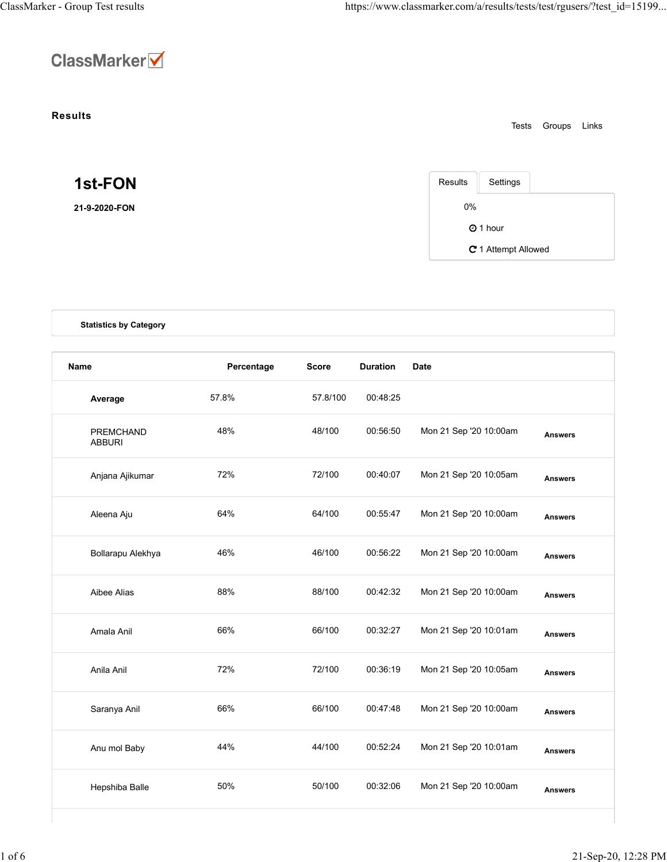

## Results

| 1st-FON |  |  |  |
|---------|--|--|--|
|         |  |  |  |

| Results | Settings            |  |
|---------|---------------------|--|
| 0%      |                     |  |
|         | $Q$ 1 hour          |  |
|         | C 1 Attempt Allowed |  |

|                               |            |              |                 |                        | Groups Links<br>Tests |
|-------------------------------|------------|--------------|-----------------|------------------------|-----------------------|
| 1st-FON                       |            |              |                 | Results<br>Settings    |                       |
| 21-9-2020-FON                 |            |              |                 | $0\%$                  |                       |
|                               |            |              |                 | <b>O</b> 1 hour        |                       |
|                               |            |              |                 |                        | C 1 Attempt Allowed   |
| <b>Statistics by Category</b> |            |              |                 |                        |                       |
| Name                          | Percentage | <b>Score</b> | <b>Duration</b> | <b>Date</b>            |                       |
| Average                       | 57.8%      | 57.8/100     | 00:48:25        |                        |                       |
| PREMCHAND<br><b>ABBURI</b>    | 48%        | 48/100       | 00:56:50        | Mon 21 Sep '20 10:00am | <b>Answers</b>        |
| Anjana Ajikumar               | 72%        | 72/100       | 00:40:07        | Mon 21 Sep '20 10:05am | <b>Answers</b>        |
| Aleena Aju                    | 64%        | 64/100       | 00:55:47        | Mon 21 Sep '20 10:00am | <b>Answers</b>        |
| Bollarapu Alekhya             | 46%        | 46/100       | 00:56:22        | Mon 21 Sep '20 10:00am | <b>Answers</b>        |
| Aibee Alias                   | 88%        | 88/100       | 00:42:32        | Mon 21 Sep '20 10:00am | <b>Answers</b>        |
| Amala Anil                    | 66%        | 66/100       | 00:32:27        | Mon 21 Sep '20 10:01am | <b>Answers</b>        |
| Anila Anil                    | 72%        | 72/100       | 00:36:19        | Mon 21 Sep '20 10:05am | <b>Answers</b>        |
| Saranya Anil                  | 66%        | 66/100       | 00:47:48        | Mon 21 Sep '20 10:00am | <b>Answers</b>        |
| Anu mol Baby                  | 44%        | 44/100       | 00:52:24        | Mon 21 Sep '20 10:01am | <b>Answers</b>        |
| Hepshiba Balle                | 50%        | 50/100       | 00:32:06        | Mon 21 Sep '20 10:00am | <b>Answers</b>        |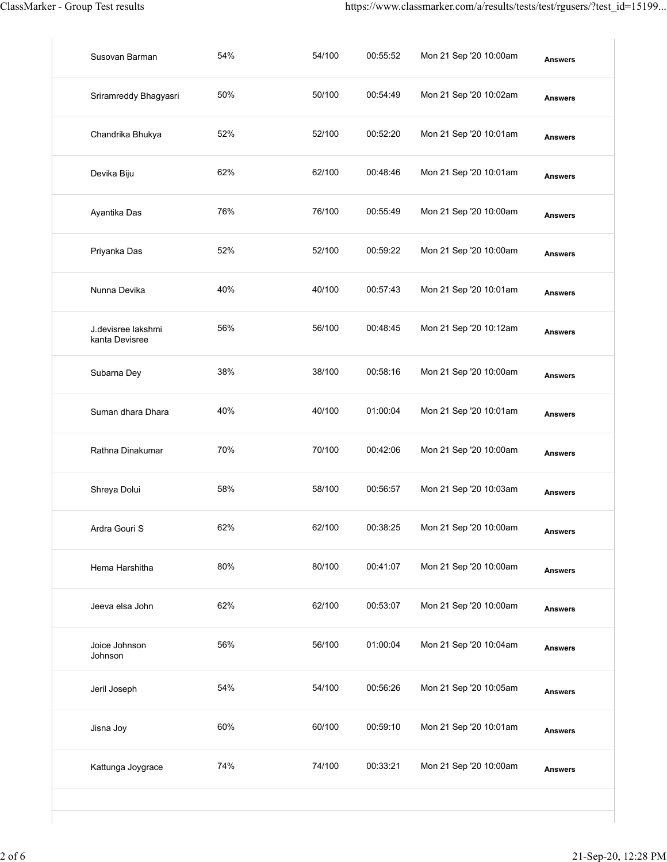| ClassMarker - Group Test results     |     |        |          | https://www.classmarker.com/a/results/tests/test/rgusers/?test_id=15199 |                |
|--------------------------------------|-----|--------|----------|-------------------------------------------------------------------------|----------------|
| Susovan Barman                       | 54% | 54/100 | 00:55:52 | Mon 21 Sep '20 10:00am                                                  | <b>Answers</b> |
| Sriramreddy Bhagyasri                | 50% | 50/100 | 00:54:49 | Mon 21 Sep '20 10:02am                                                  | <b>Answers</b> |
| Chandrika Bhukya                     | 52% | 52/100 | 00:52:20 | Mon 21 Sep '20 10:01am                                                  | <b>Answers</b> |
| Devika Biju                          | 62% | 62/100 | 00:48:46 | Mon 21 Sep '20 10:01am                                                  | <b>Answers</b> |
| Ayantika Das                         | 76% | 76/100 | 00:55:49 | Mon 21 Sep '20 10:00am                                                  | <b>Answers</b> |
| Priyanka Das                         | 52% | 52/100 | 00:59:22 | Mon 21 Sep '20 10:00am                                                  | <b>Answers</b> |
| Nunna Devika                         | 40% | 40/100 | 00:57:43 | Mon 21 Sep '20 10:01am                                                  | <b>Answers</b> |
| J.devisree lakshmi<br>kanta Devisree | 56% | 56/100 | 00:48:45 | Mon 21 Sep '20 10:12am                                                  | <b>Answers</b> |
| Subarna Dey                          | 38% | 38/100 | 00:58:16 | Mon 21 Sep '20 10:00am                                                  | <b>Answers</b> |
| Suman dhara Dhara                    | 40% | 40/100 | 01:00:04 | Mon 21 Sep '20 10:01am                                                  | <b>Answers</b> |
| Rathna Dinakumar                     | 70% | 70/100 | 00:42:06 | Mon 21 Sep '20 10:00am                                                  | <b>Answers</b> |
| Shreya Dolui                         | 58% | 58/100 | 00:56:57 | Mon 21 Sep '20 10:03am                                                  | <b>Answers</b> |
| Ardra Gouri S                        | 62% | 62/100 | 00:38:25 | Mon 21 Sep '20 10:00am                                                  | <b>Answers</b> |
| Hema Harshitha                       | 80% | 80/100 | 00:41:07 | Mon 21 Sep '20 10:00am                                                  | <b>Answers</b> |
| Jeeva elsa John                      | 62% | 62/100 | 00:53:07 | Mon 21 Sep '20 10:00am                                                  | <b>Answers</b> |
| Joice Johnson<br>Johnson             | 56% | 56/100 | 01:00:04 | Mon 21 Sep '20 10:04am                                                  | <b>Answers</b> |
| Jeril Joseph                         | 54% | 54/100 | 00:56:26 | Mon 21 Sep '20 10:05am                                                  | <b>Answers</b> |
| Jisna Joy                            | 60% | 60/100 | 00:59:10 | Mon 21 Sep '20 10:01am                                                  | <b>Answers</b> |
| Kattunga Joygrace                    | 74% | 74/100 | 00:33:21 | Mon 21 Sep '20 10:00am                                                  | <b>Answers</b> |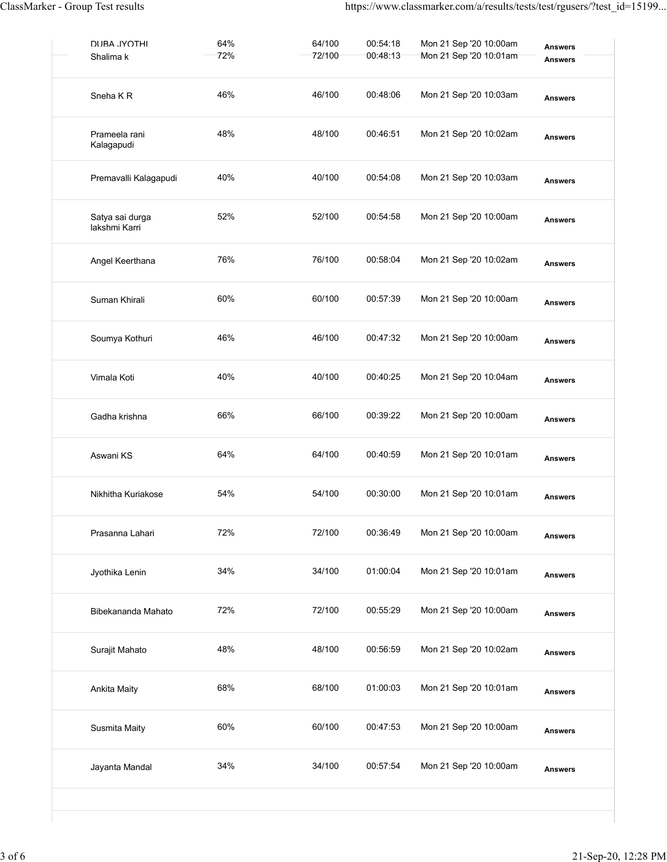| ClassMarker - Group Test results |            |                  |                      | https://www.classmarker.com/a/results/tests/test/rgusers/?test_id=15199 |                                  |
|----------------------------------|------------|------------------|----------------------|-------------------------------------------------------------------------|----------------------------------|
| <b>DURA JYOTHI</b><br>Shalima k  | 64%<br>72% | 64/100<br>72/100 | 00:54:18<br>00:48:13 | Mon 21 Sep '20 10:00am<br>Mon 21 Sep '20 10:01am                        | <b>Answers</b><br><b>Answers</b> |
| Sneha KR                         | 46%        | 46/100           | 00:48:06             | Mon 21 Sep '20 10:03am                                                  | <b>Answers</b>                   |
| Prameela rani<br>Kalagapudi      | 48%        | 48/100           | 00:46:51             | Mon 21 Sep '20 10:02am                                                  | <b>Answers</b>                   |
| Premavalli Kalagapudi            | 40%        | 40/100           | 00:54:08             | Mon 21 Sep '20 10:03am                                                  | <b>Answers</b>                   |
| Satya sai durga<br>lakshmi Karri | 52%        | 52/100           | 00:54:58             | Mon 21 Sep '20 10:00am                                                  | <b>Answers</b>                   |
| Angel Keerthana                  | 76%        | 76/100           | 00:58:04             | Mon 21 Sep '20 10:02am                                                  | <b>Answers</b>                   |
| Suman Khirali                    | 60%        | 60/100           | 00:57:39             | Mon 21 Sep '20 10:00am                                                  | <b>Answers</b>                   |
| Soumya Kothuri                   | 46%        | 46/100           | 00:47:32             | Mon 21 Sep '20 10:00am                                                  | <b>Answers</b>                   |
| Vimala Koti                      | 40%        | 40/100           | 00:40:25             | Mon 21 Sep '20 10:04am                                                  | <b>Answers</b>                   |
| Gadha krishna                    | 66%        | 66/100           | 00:39:22             | Mon 21 Sep '20 10:00am                                                  | <b>Answers</b>                   |
| Aswani KS                        | 64%        | 64/100           | 00:40:59             | Mon 21 Sep '20 10:01am                                                  | <b>Answers</b>                   |
| Nikhitha Kuriakose               | 54%        | 54/100           | 00:30:00             | Mon 21 Sep '20 10:01am                                                  | <b>Answers</b>                   |
| Prasanna Lahari                  | 72%        | 72/100           | 00:36:49             | Mon 21 Sep '20 10:00am                                                  | <b>Answers</b>                   |
| Jyothika Lenin                   | 34%        | 34/100           | 01:00:04             | Mon 21 Sep '20 10:01am                                                  | <b>Answers</b>                   |
| Bibekananda Mahato               | 72%        | 72/100           | 00:55:29             | Mon 21 Sep '20 10:00am                                                  | <b>Answers</b>                   |
| Surajit Mahato                   | 48%        | 48/100           | 00:56:59             | Mon 21 Sep '20 10:02am                                                  | <b>Answers</b>                   |
| Ankita Maity                     | 68%        | 68/100           | 01:00:03             | Mon 21 Sep '20 10:01am                                                  | <b>Answers</b>                   |
| Susmita Maity                    | 60%        | 60/100           | 00:47:53             | Mon 21 Sep '20 10:00am                                                  | <b>Answers</b>                   |
| Jayanta Mandal                   | 34%        | 34/100           | 00:57:54             | Mon 21 Sep '20 10:00am                                                  | <b>Answers</b>                   |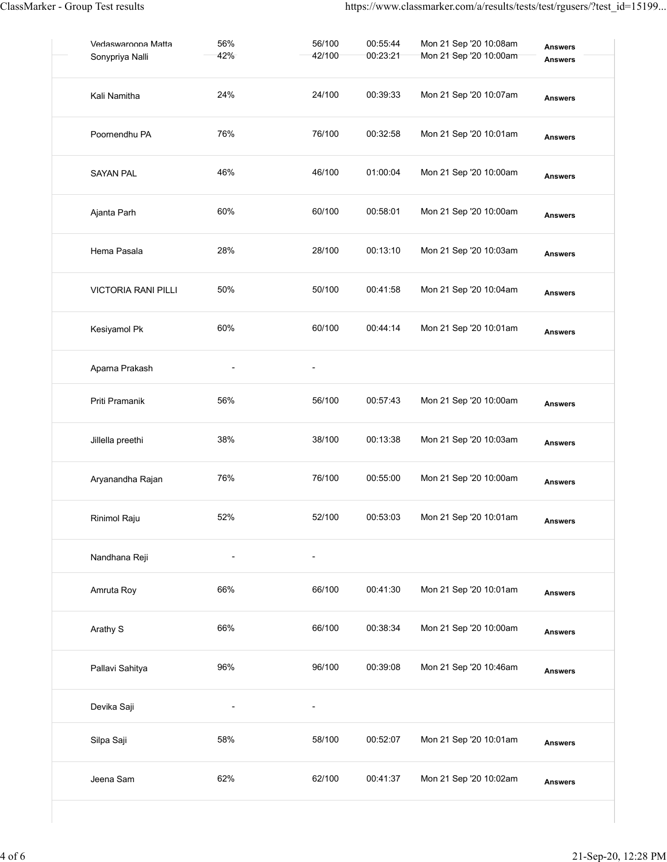| ClassMarker - Group Test results      |                          |                          |                      | https://www.classmarker.com/a/results/tests/test/rgusers/?test_id=15199 |                                  |  |
|---------------------------------------|--------------------------|--------------------------|----------------------|-------------------------------------------------------------------------|----------------------------------|--|
| Vedaswaroona Matta<br>Sonypriya Nalli | 56%<br>42%               | 56/100<br>42/100         | 00:55:44<br>00:23:21 | Mon 21 Sep '20 10:08am<br>Mon 21 Sep '20 10:00am                        | <b>Answers</b><br><b>Answers</b> |  |
| Kali Namitha                          | 24%                      | 24/100                   | 00:39:33             | Mon 21 Sep '20 10:07am                                                  | <b>Answers</b>                   |  |
| Poornendhu PA                         | 76%                      | 76/100                   | 00:32:58             | Mon 21 Sep '20 10:01am                                                  | <b>Answers</b>                   |  |
| <b>SAYAN PAL</b>                      | 46%                      | 46/100                   | 01:00:04             | Mon 21 Sep '20 10:00am                                                  | <b>Answers</b>                   |  |
| Ajanta Parh                           | 60%                      | 60/100                   | 00:58:01             | Mon 21 Sep '20 10:00am                                                  | <b>Answers</b>                   |  |
| Hema Pasala                           | 28%                      | 28/100                   | 00:13:10             | Mon 21 Sep '20 10:03am                                                  | <b>Answers</b>                   |  |
| VICTORIA RANI PILLI                   | 50%                      | 50/100                   | 00:41:58             | Mon 21 Sep '20 10:04am                                                  | <b>Answers</b>                   |  |
| Kesiyamol Pk                          | 60%                      | 60/100                   | 00:44:14             | Mon 21 Sep '20 10:01am                                                  | <b>Answers</b>                   |  |
| Aparna Prakash                        | $\overline{\phantom{a}}$ | $\blacksquare$           |                      |                                                                         |                                  |  |
| Priti Pramanik                        | 56%                      | 56/100                   | 00:57:43             | Mon 21 Sep '20 10:00am                                                  | <b>Answers</b>                   |  |
| Jillella preethi                      | 38%                      | 38/100                   | 00:13:38             | Mon 21 Sep '20 10:03am                                                  | <b>Answers</b>                   |  |
| Aryanandha Rajan                      | 76%                      | 76/100                   | 00:55:00             | Mon 21 Sep '20 10:00am                                                  | <b>Answers</b>                   |  |
| Rinimol Raju                          | 52%                      | 52/100                   | 00:53:03             | Mon 21 Sep '20 10:01am                                                  | <b>Answers</b>                   |  |
| Nandhana Reji                         | $\blacksquare$           | $\overline{\phantom{a}}$ |                      |                                                                         |                                  |  |
| Amruta Roy                            | 66%                      | 66/100                   | 00:41:30             | Mon 21 Sep '20 10:01am                                                  | <b>Answers</b>                   |  |
| Arathy S                              | 66%                      | 66/100                   | 00:38:34             | Mon 21 Sep '20 10:00am                                                  | <b>Answers</b>                   |  |
| Pallavi Sahitya                       | 96%                      | 96/100                   | 00:39:08             | Mon 21 Sep '20 10:46am                                                  | <b>Answers</b>                   |  |
| Devika Saji                           | $\overline{\phantom{a}}$ | $\overline{\phantom{a}}$ |                      |                                                                         |                                  |  |
| Silpa Saji                            | 58%                      | 58/100                   | 00:52:07             | Mon 21 Sep '20 10:01am                                                  | <b>Answers</b>                   |  |
| Jeena Sam                             | 62%                      | 62/100                   | 00:41:37             | Mon 21 Sep '20 10:02am                                                  | <b>Answers</b>                   |  |
|                                       |                          |                          |                      |                                                                         |                                  |  |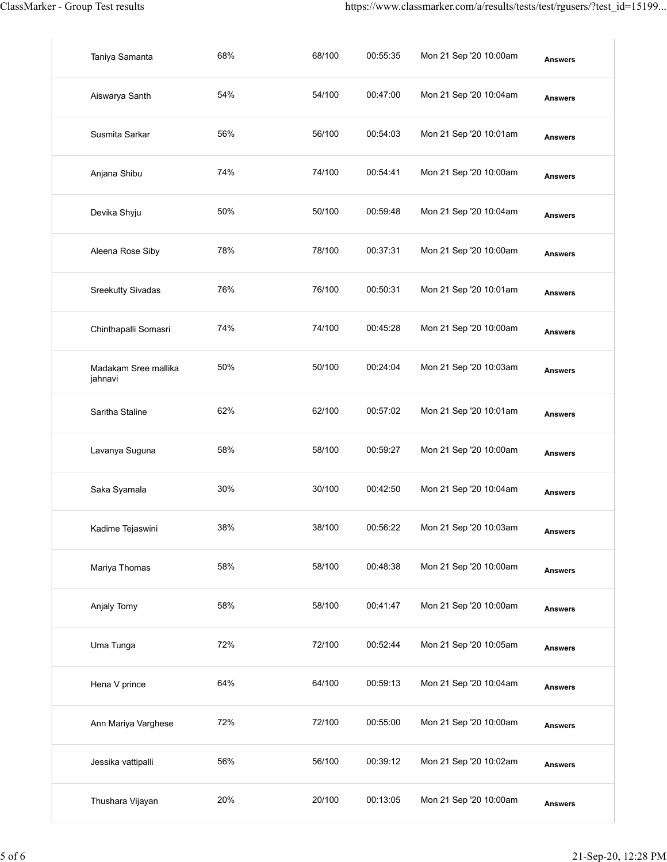| ClassMarker - Group Test results |     |        |          | https://www.classmarker.com/a/results/tests/test/rgusers/?test_id=15199 |                |
|----------------------------------|-----|--------|----------|-------------------------------------------------------------------------|----------------|
| Taniya Samanta                   | 68% | 68/100 | 00:55:35 | Mon 21 Sep '20 10:00am                                                  | <b>Answers</b> |
| Aiswarya Santh                   | 54% | 54/100 | 00:47:00 | Mon 21 Sep '20 10:04am                                                  | <b>Answers</b> |
| Susmita Sarkar                   | 56% | 56/100 | 00:54:03 | Mon 21 Sep '20 10:01am                                                  | <b>Answers</b> |
| Anjana Shibu                     | 74% | 74/100 | 00:54:41 | Mon 21 Sep '20 10:00am                                                  | <b>Answers</b> |
| Devika Shyju                     | 50% | 50/100 | 00:59:48 | Mon 21 Sep '20 10:04am                                                  | <b>Answers</b> |
| Aleena Rose Siby                 | 78% | 78/100 | 00:37:31 | Mon 21 Sep '20 10:00am                                                  | <b>Answers</b> |
| Sreekutty Sivadas                | 76% | 76/100 | 00:50:31 | Mon 21 Sep '20 10:01am                                                  | <b>Answers</b> |
| Chinthapalli Somasri             | 74% | 74/100 | 00:45:28 | Mon 21 Sep '20 10:00am                                                  | <b>Answers</b> |
| Madakam Sree mallika<br>jahnavi  | 50% | 50/100 | 00:24:04 | Mon 21 Sep '20 10:03am                                                  | <b>Answers</b> |
| Saritha Staline                  | 62% | 62/100 | 00:57:02 | Mon 21 Sep '20 10:01am                                                  | <b>Answers</b> |
| Lavanya Suguna                   | 58% | 58/100 | 00:59:27 | Mon 21 Sep '20 10:00am                                                  | <b>Answers</b> |
| Saka Syamala                     | 30% | 30/100 | 00:42:50 | Mon 21 Sep '20 10:04am                                                  | <b>Answers</b> |
| Kadime Tejaswini                 | 38% | 38/100 | 00:56:22 | Mon 21 Sep '20 10:03am                                                  | <b>Answers</b> |
| Mariya Thomas                    | 58% | 58/100 | 00:48:38 | Mon 21 Sep '20 10:00am                                                  | <b>Answers</b> |
| Anjaly Tomy                      | 58% | 58/100 | 00:41:47 | Mon 21 Sep '20 10:00am                                                  | <b>Answers</b> |
| Uma Tunga                        | 72% | 72/100 | 00:52:44 | Mon 21 Sep '20 10:05am                                                  | <b>Answers</b> |
| Hena V prince                    | 64% | 64/100 | 00:59:13 | Mon 21 Sep '20 10:04am                                                  | <b>Answers</b> |
| Ann Mariya Varghese              | 72% | 72/100 | 00:55:00 | Mon 21 Sep '20 10:00am                                                  | <b>Answers</b> |
| Jessika vattipalli               | 56% | 56/100 | 00:39:12 | Mon 21 Sep '20 10:02am                                                  | <b>Answers</b> |
| Thushara Vijayan                 | 20% | 20/100 | 00:13:05 | Mon 21 Sep '20 10:00am                                                  | <b>Answers</b> |